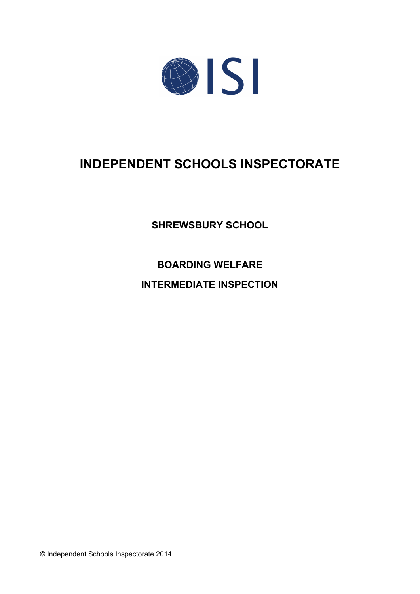

# **INDEPENDENT SCHOOLS INSPECTORATE**

**SHREWSBURY SCHOOL**

**BOARDING WELFARE INTERMEDIATE INSPECTION**

© Independent Schools Inspectorate 2014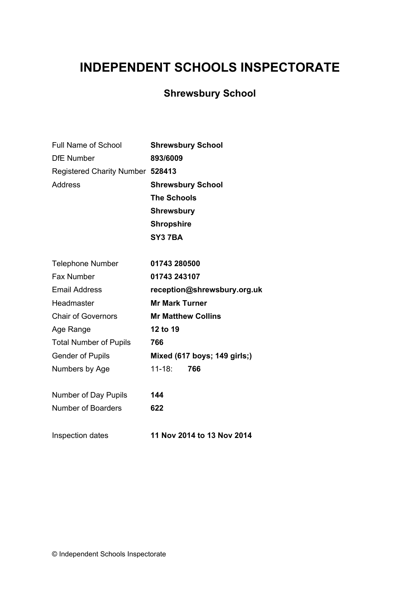# **INDEPENDENT SCHOOLS INSPECTORATE**

## **Shrewsbury School**

| Full Name of School              | <b>Shrewsbury School</b>     |
|----------------------------------|------------------------------|
| <b>DfE</b> Number                | 893/6009                     |
| Registered Charity Number 528413 |                              |
| <b>Address</b>                   | <b>Shrewsbury School</b>     |
|                                  | <b>The Schools</b>           |
|                                  | <b>Shrewsbury</b>            |
|                                  | <b>Shropshire</b>            |
|                                  | SY37BA                       |
| <b>Telephone Number</b>          | 01743 280500                 |
| <b>Fax Number</b>                | 01743 243107                 |
| <b>Email Address</b>             | reception@shrewsbury.org.uk  |
| Headmaster                       | <b>Mr Mark Turner</b>        |
| <b>Chair of Governors</b>        | <b>Mr Matthew Collins</b>    |
| Age Range                        | 12 to 19                     |
| <b>Total Number of Pupils</b>    | 766                          |
| <b>Gender of Pupils</b>          | Mixed (617 boys; 149 girls;) |
| Numbers by Age                   | $11 - 18:$<br>766            |
| Number of Day Pupils             | 144                          |
| <b>Number of Boarders</b>        | 622                          |
| Inspection dates                 | 11 Nov 2014 to 13 Nov 2014   |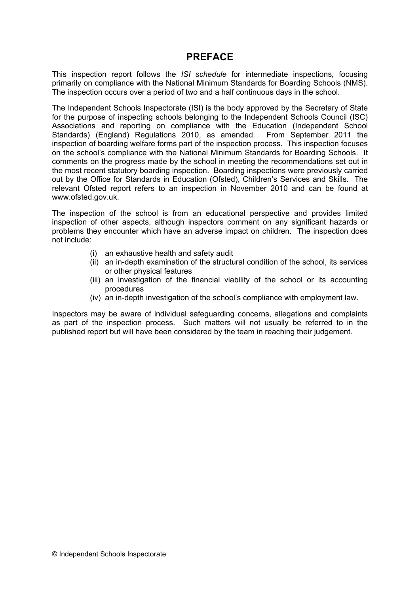## **PREFACE**

This inspection report follows the *ISI schedule* for intermediate inspections*,* focusing primarily on compliance with the National Minimum Standards for Boarding Schools (NMS). The inspection occurs over a period of two and a half continuous days in the school.

The Independent Schools Inspectorate (ISI) is the body approved by the Secretary of State for the purpose of inspecting schools belonging to the Independent Schools Council (ISC) Associations and reporting on compliance with the Education (Independent School Standards) (England) Regulations 2010, as amended. From September 2011 the inspection of boarding welfare forms part of the inspection process. This inspection focuses on the school's compliance with the National Minimum Standards for Boarding Schools. It comments on the progress made by the school in meeting the recommendations set out in the most recent statutory boarding inspection. Boarding inspections were previously carried out by the Office for Standards in Education (Ofsted), Children's Services and Skills. The relevant Ofsted report refers to an inspection in November 2010 and can be found at [www.ofsted.gov.uk.](http://www.ofsted.gov.uk)

The inspection of the school is from an educational perspective and provides limited inspection of other aspects, although inspectors comment on any significant hazards or problems they encounter which have an adverse impact on children. The inspection does not include:

- (i) an exhaustive health and safety audit
- (ii) an in-depth examination of the structural condition of the school, its services or other physical features
- (iii) an investigation of the financial viability of the school or its accounting procedures
- (iv) an in-depth investigation of the school's compliance with employment law.

Inspectors may be aware of individual safeguarding concerns, allegations and complaints as part of the inspection process. Such matters will not usually be referred to in the published report but will have been considered by the team in reaching their judgement.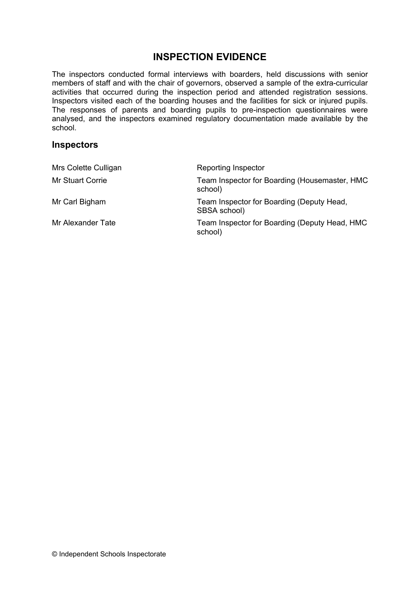## **INSPECTION EVIDENCE**

The inspectors conducted formal interviews with boarders, held discussions with senior members of staff and with the chair of governors, observed a sample of the extra-curricular activities that occurred during the inspection period and attended registration sessions. Inspectors visited each of the boarding houses and the facilities for sick or injured pupils. The responses of parents and boarding pupils to pre-inspection questionnaires were analysed, and the inspectors examined regulatory documentation made available by the school.

### **Inspectors**

| Mrs Colette Culligan    | Reporting Inspector                                       |
|-------------------------|-----------------------------------------------------------|
| <b>Mr Stuart Corrie</b> | Team Inspector for Boarding (Housemaster, HMC<br>school)  |
| Mr Carl Bigham          | Team Inspector for Boarding (Deputy Head,<br>SBSA school) |
| Mr Alexander Tate       | Team Inspector for Boarding (Deputy Head, HMC<br>school)  |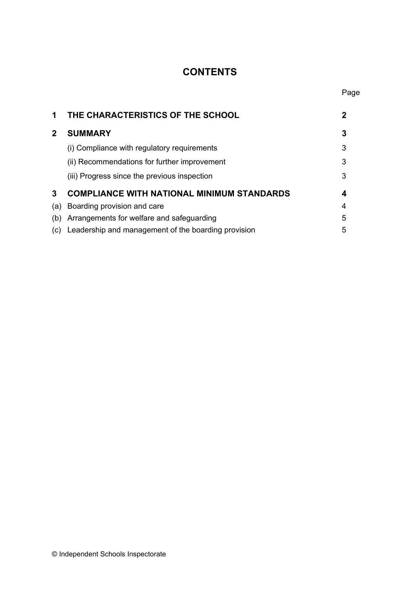## **CONTENTS**

Page

| 1            | THE CHARACTERISTICS OF THE SCHOOL                   | 2 |
|--------------|-----------------------------------------------------|---|
| $\mathbf{2}$ | <b>SUMMARY</b>                                      | 3 |
|              | (i) Compliance with regulatory requirements         | 3 |
|              | (ii) Recommendations for further improvement        | 3 |
|              | (iii) Progress since the previous inspection        | 3 |
| 3            | <b>COMPLIANCE WITH NATIONAL MINIMUM STANDARDS</b>   | 4 |
| (a)          | Boarding provision and care                         | 4 |
| (b)          | Arrangements for welfare and safeguarding           | 5 |
| (C)          | Leadership and management of the boarding provision | 5 |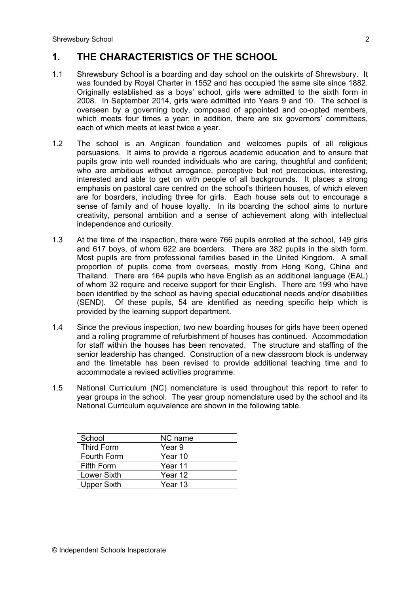## **1. THE CHARACTERISTICS OF THE SCHOOL**

- 1.1 Shrewsbury School is a boarding and day school on the outskirts of Shrewsbury. It was founded by Royal Charter in 1552 and has occupied the same site since 1882. Originally established as a boys' school, girls were admitted to the sixth form in 2008. In September 2014, girls were admitted into Years 9 and 10. The school is overseen by a governing body, composed of appointed and co-opted members, which meets four times a year; in addition, there are six governors' committees, each of which meets at least twice a year.
- 1.2 The school is an Anglican foundation and welcomes pupils of all religious persuasions. It aims to provide a rigorous academic education and to ensure that pupils grow into well rounded individuals who are caring, thoughtful and confident; who are ambitious without arrogance, perceptive but not precocious, interesting, interested and able to get on with people of all backgrounds. It places a strong emphasis on pastoral care centred on the school's thirteen houses, of which eleven are for boarders, including three for girls. Each house sets out to encourage a sense of family and of house loyalty. In its boarding the school aims to nurture creativity, personal ambition and a sense of achievement along with intellectual independence and curiosity.
- 1.3 At the time of the inspection, there were 766 pupils enrolled at the school, 149 girls and 617 boys, of whom 622 are boarders. There are 382 pupils in the sixth form. Most pupils are from professional families based in the United Kingdom. A small proportion of pupils come from overseas, mostly from Hong Kong, China and Thailand. There are 164 pupils who have English as an additional language (EAL) of whom 32 require and receive support for their English. There are 199 who have been identified by the school as having special educational needs and/or disabilities (SEND). Of these pupils, 54 are identified as needing specific help which is provided by the learning support department.
- 1.4 Since the previous inspection, two new boarding houses for girls have been opened and a rolling programme of refurbishment of houses has continued. Accommodation for staff within the houses has been renovated. The structure and staffing of the senior leadership has changed. Construction of a new classroom block is underway and the timetable has been revised to provide additional teaching time and to accommodate a revised activities programme.
- 1.5 National Curriculum (NC) nomenclature is used throughout this report to refer to year groups in the school. The year group nomenclature used by the school and its National Curriculum equivalence are shown in the following table.

| School             | NC name |
|--------------------|---------|
| <b>Third Form</b>  | Year 9  |
| <b>Fourth Form</b> | Year 10 |
| <b>Fifth Form</b>  | Year 11 |
| <b>Lower Sixth</b> | Year 12 |
| <b>Upper Sixth</b> | Year 13 |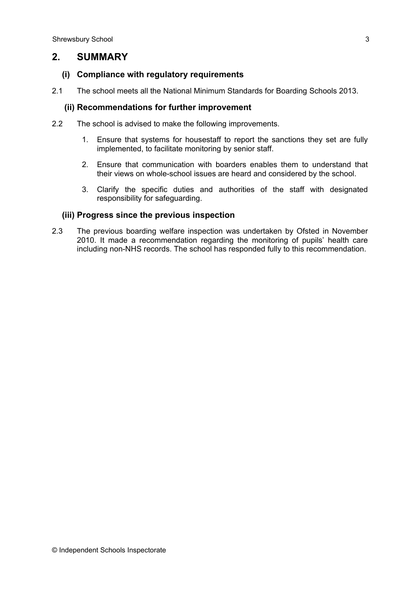## **2. SUMMARY**

#### **(i) Compliance with regulatory requirements**

2.1 The school meets all the National Minimum Standards for Boarding Schools 2013.

#### **(ii) Recommendations for further improvement**

- 2.2 The school is advised to make the following improvements.
	- 1. Ensure that systems for housestaff to report the sanctions they set are fully implemented, to facilitate monitoring by senior staff.
	- 2. Ensure that communication with boarders enables them to understand that their views on whole-school issues are heard and considered by the school.
	- 3. Clarify the specific duties and authorities of the staff with designated responsibility for safeguarding.

#### **(iii) Progress since the previous inspection**

2.3 The previous boarding welfare inspection was undertaken by Ofsted in November 2010. It made a recommendation regarding the monitoring of pupils' health care including non-NHS records. The school has responded fully to this recommendation.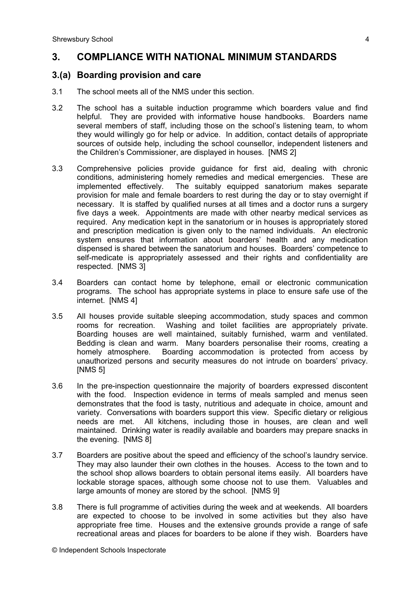## **3. COMPLIANCE WITH NATIONAL MINIMUM STANDARDS**

#### **3.(a) Boarding provision and care**

- 3.1 The school meets all of the NMS under this section.
- 3.2 The school has a suitable induction programme which boarders value and find helpful. They are provided with informative house handbooks. Boarders name several members of staff, including those on the school's listening team, to whom they would willingly go for help or advice. In addition, contact details of appropriate sources of outside help, including the school counsellor, independent listeners and the Children's Commissioner, are displayed in houses. [NMS 2]
- 3.3 Comprehensive policies provide guidance for first aid, dealing with chronic conditions, administering homely remedies and medical emergencies. These are implemented effectively. The suitably equipped sanatorium makes separate provision for male and female boarders to rest during the day or to stay overnight if necessary. It is staffed by qualified nurses at all times and a doctor runs a surgery five days a week. Appointments are made with other nearby medical services as required. Any medication kept in the sanatorium or in houses is appropriately stored and prescription medication is given only to the named individuals. An electronic system ensures that information about boarders' health and any medication dispensed is shared between the sanatorium and houses. Boarders' competence to self-medicate is appropriately assessed and their rights and confidentiality are respected. [NMS 3]
- 3.4 Boarders can contact home by telephone, email or electronic communication programs. The school has appropriate systems in place to ensure safe use of the internet. [NMS 4]
- 3.5 All houses provide suitable sleeping accommodation, study spaces and common rooms for recreation. Washing and toilet facilities are appropriately private. Boarding houses are well maintained, suitably furnished, warm and ventilated. Bedding is clean and warm. Many boarders personalise their rooms, creating a homely atmosphere. Boarding accommodation is protected from access by unauthorized persons and security measures do not intrude on boarders' privacy. [NMS 5]
- 3.6 In the pre-inspection questionnaire the majority of boarders expressed discontent with the food. Inspection evidence in terms of meals sampled and menus seen demonstrates that the food is tasty, nutritious and adequate in choice, amount and variety. Conversations with boarders support this view. Specific dietary or religious needs are met. All kitchens, including those in houses, are clean and well maintained. Drinking water is readily available and boarders may prepare snacks in the evening. [NMS 8]
- 3.7 Boarders are positive about the speed and efficiency of the school's laundry service. They may also launder their own clothes in the houses. Access to the town and to the school shop allows boarders to obtain personal items easily. All boarders have lockable storage spaces, although some choose not to use them. Valuables and large amounts of money are stored by the school. [NMS 9]
- 3.8 There is full programme of activities during the week and at weekends. All boarders are expected to choose to be involved in some activities but they also have appropriate free time. Houses and the extensive grounds provide a range of safe recreational areas and places for boarders to be alone if they wish. Boarders have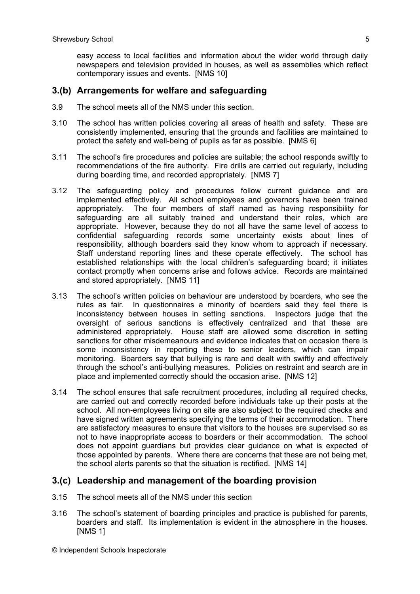easy access to local facilities and information about the wider world through daily newspapers and television provided in houses, as well as assemblies which reflect contemporary issues and events. [NMS 10]

### **3.(b) Arrangements for welfare and safeguarding**

- 3.9 The school meets all of the NMS under this section.
- 3.10 The school has written policies covering all areas of health and safety. These are consistently implemented, ensuring that the grounds and facilities are maintained to protect the safety and well-being of pupils as far as possible. [NMS 6]
- 3.11 The school's fire procedures and policies are suitable; the school responds swiftly to recommendations of the fire authority. Fire drills are carried out regularly, including during boarding time, and recorded appropriately. [NMS 7]
- 3.12 The safeguarding policy and procedures follow current guidance and are implemented effectively. All school employees and governors have been trained appropriately. The four members of staff named as having responsibility for safeguarding are all suitably trained and understand their roles, which are appropriate. However, because they do not all have the same level of access to confidential safeguarding records some uncertainty exists about lines of responsibility, although boarders said they know whom to approach if necessary. Staff understand reporting lines and these operate effectively. The school has established relationships with the local children's safeguarding board; it initiates contact promptly when concerns arise and follows advice. Records are maintained and stored appropriately. [NMS 11]
- 3.13 The school's written policies on behaviour are understood by boarders, who see the rules as fair. In questionnaires a minority of boarders said they feel there is inconsistency between houses in setting sanctions. Inspectors judge that the oversight of serious sanctions is effectively centralized and that these are administered appropriately. House staff are allowed some discretion in setting sanctions for other misdemeanours and evidence indicates that on occasion there is some inconsistency in reporting these to senior leaders, which can impair monitoring. Boarders say that bullying is rare and dealt with swiftly and effectively through the school's anti-bullying measures. Policies on restraint and search are in place and implemented correctly should the occasion arise. [NMS 12]
- 3.14 The school ensures that safe recruitment procedures, including all required checks, are carried out and correctly recorded before individuals take up their posts at the school. All non-employees living on site are also subject to the required checks and have signed written agreements specifying the terms of their accommodation. There are satisfactory measures to ensure that visitors to the houses are supervised so as not to have inappropriate access to boarders or their accommodation. The school does not appoint guardians but provides clear guidance on what is expected of those appointed by parents. Where there are concerns that these are not being met, the school alerts parents so that the situation is rectified. [NMS 14]

### **3.(c) Leadership and management of the boarding provision**

- 3.15 The school meets all of the NMS under this section
- 3.16 The school's statement of boarding principles and practice is published for parents, boarders and staff. Its implementation is evident in the atmosphere in the houses. [NMS 1]

© Independent Schools Inspectorate